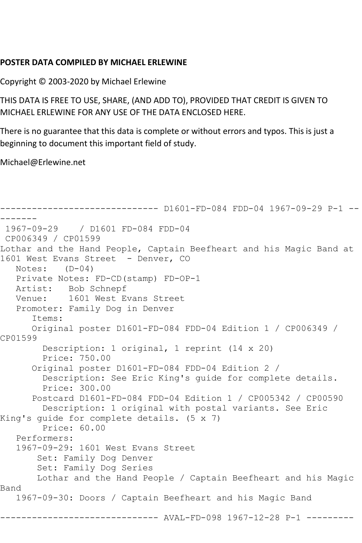## **POSTER DATA COMPILED BY MICHAEL ERLEWINE**

Copyright © 2003-2020 by Michael Erlewine

THIS DATA IS FREE TO USE, SHARE, (AND ADD TO), PROVIDED THAT CREDIT IS GIVEN TO MICHAEL ERLEWINE FOR ANY USE OF THE DATA ENCLOSED HERE.

There is no guarantee that this data is complete or without errors and typos. This is just a beginning to document this important field of study.

Michael@Erlewine.net

```
------------------------------ D1601-FD-084 FDD-04 1967-09-29 P-1 --
-------
1967-09-29 / D1601 FD-084 FDD-04
CP006349 / CP01599
Lothar and the Hand People, Captain Beefheart and his Magic Band at 
1601 West Evans Street - Denver, CO
   Notes: (D-04)
   Private Notes: FD-CD(stamp) FD-OP-1
   Artist: Bob Schnepf
   Venue: 1601 West Evans Street
   Promoter: Family Dog in Denver
       Items:
       Original poster D1601-FD-084 FDD-04 Edition 1 / CP006349 / 
CP01599
         Description: 1 original, 1 reprint (14 x 20)
         Price: 750.00
       Original poster D1601-FD-084 FDD-04 Edition 2 / 
         Description: See Eric King's guide for complete details.
         Price: 300.00
       Postcard D1601-FD-084 FDD-04 Edition 1 / CP005342 / CP00590
         Description: 1 original with postal variants. See Eric 
King's guide for complete details. (5 x 7)
         Price: 60.00
    Performers:
    1967-09-29: 1601 West Evans Street
        Set: Family Dog Denver
        Set: Family Dog Series
        Lothar and the Hand People / Captain Beefheart and his Magic 
Band
    1967-09-30: Doors / Captain Beefheart and his Magic Band
                    ------------------------------ AVAL-FD-098 1967-12-28 P-1 ---------
```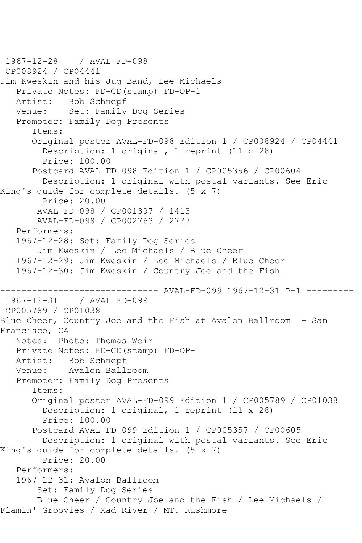```
1967-12-28 / AVAL FD-098
CP008924 / CP04441
Jim Kweskin and his Jug Band, Lee Michaels
   Private Notes: FD-CD(stamp) FD-OP-1
   Artist: Bob Schnepf
   Venue: Set: Family Dog Series
   Promoter: Family Dog Presents
       Items:
       Original poster AVAL-FD-098 Edition 1 / CP008924 / CP04441
         Description: 1 original, 1 reprint (11 x 28)
         Price: 100.00
       Postcard AVAL-FD-098 Edition 1 / CP005356 / CP00604
         Description: 1 original with postal variants. See Eric 
King's guide for complete details. (5 x 7)
        Price: 20.00
        AVAL-FD-098 / CP001397 / 1413
        AVAL-FD-098 / CP002763 / 2727
   Performers:
   1967-12-28: Set: Family Dog Series
        Jim Kweskin / Lee Michaels / Blue Cheer
   1967-12-29: Jim Kweskin / Lee Michaels / Blue Cheer
   1967-12-30: Jim Kweskin / Country Joe and the Fish
------------------------------ AVAL-FD-099 1967-12-31 P-1 ---------
1967-12-31 / AVAL FD-099
CP005789 / CP01038
Blue Cheer, Country Joe and the Fish at Avalon Ballroom - San 
Francisco, CA
   Notes: Photo: Thomas Weir
   Private Notes: FD-CD(stamp) FD-OP-1
   Artist: Bob Schnepf
   Venue: Avalon Ballroom
   Promoter: Family Dog Presents
       Items:
       Original poster AVAL-FD-099 Edition 1 / CP005789 / CP01038
         Description: 1 original, 1 reprint (11 x 28)
         Price: 100.00
       Postcard AVAL-FD-099 Edition 1 / CP005357 / CP00605
         Description: 1 original with postal variants. See Eric 
King's guide for complete details. (5 x 7)
         Price: 20.00
   Performers:
   1967-12-31: Avalon Ballroom
        Set: Family Dog Series
        Blue Cheer / Country Joe and the Fish / Lee Michaels / 
Flamin' Groovies / Mad River / MT. Rushmore
```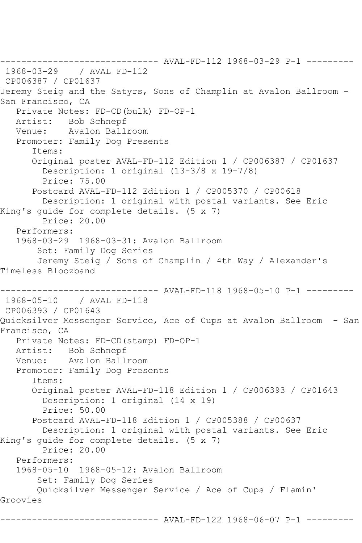------------------------------ AVAL-FD-112 1968-03-29 P-1 --------- 1968-03-29 / AVAL FD-112 CP006387 / CP01637 Jeremy Steig and the Satyrs, Sons of Champlin at Avalon Ballroom - San Francisco, CA Private Notes: FD-CD(bulk) FD-OP-1 Artist: Bob Schnepf Venue: Avalon Ballroom Promoter: Family Dog Presents Items: Original poster AVAL-FD-112 Edition 1 / CP006387 / CP01637 Description: 1 original (13-3/8 x 19-7/8) Price: 75.00 Postcard AVAL-FD-112 Edition 1 / CP005370 / CP00618 Description: 1 original with postal variants. See Eric King's guide for complete details. (5 x 7) Price: 20.00 Performers: 1968-03-29 1968-03-31: Avalon Ballroom Set: Family Dog Series Jeremy Steig / Sons of Champlin / 4th Way / Alexander's Timeless Bloozband ------------------------------ AVAL-FD-118 1968-05-10 P-1 --------- 1968-05-10 / AVAL FD-118 CP006393 / CP01643 Quicksilver Messenger Service, Ace of Cups at Avalon Ballroom - San Francisco, CA Private Notes: FD-CD(stamp) FD-OP-1 Artist: Bob Schnepf Venue: Avalon Ballroom Promoter: Family Dog Presents Items: Original poster AVAL-FD-118 Edition 1 / CP006393 / CP01643 Description: 1 original (14 x 19) Price: 50.00 Postcard AVAL-FD-118 Edition 1 / CP005388 / CP00637 Description: 1 original with postal variants. See Eric King's guide for complete details. (5 x 7) Price: 20.00 Performers: 1968-05-10 1968-05-12: Avalon Ballroom Set: Family Dog Series Quicksilver Messenger Service / Ace of Cups / Flamin' Groovies ------------------------------ AVAL-FD-122 1968-06-07 P-1 ---------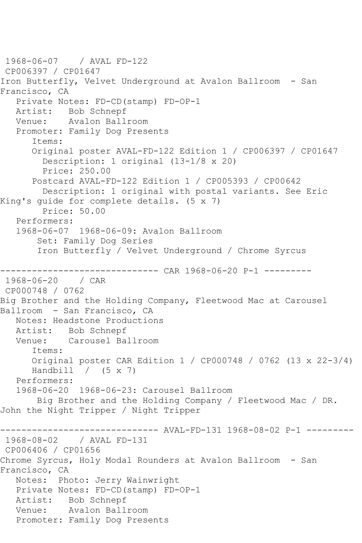1968-06-07 / AVAL FD-122 CP006397 / CP01647 Iron Butterfly, Velvet Underground at Avalon Ballroom - San Francisco, CA Private Notes: FD-CD(stamp) FD-OP-1 Artist: Bob Schnepf Venue: Avalon Ballroom Promoter: Family Dog Presents Items: Original poster AVAL-FD-122 Edition 1 / CP006397 / CP01647 Description: 1 original (13-1/8 x 20) Price: 250.00 Postcard AVAL-FD-122 Edition 1 / CP005393 / CP00642 Description: 1 original with postal variants. See Eric King's guide for complete details. (5 x 7) Price: 50.00 Performers: 1968-06-07 1968-06-09: Avalon Ballroom Set: Family Dog Series Iron Butterfly / Velvet Underground / Chrome Syrcus ------------------------------ CAR 1968-06-20 P-1 --------- 1968-06-20 / CAR CP000748 / 0762 Big Brother and the Holding Company, Fleetwood Mac at Carousel Ballroom - San Francisco, CA Notes: Headstone Productions Artist: Bob Schnepf Venue: Carousel Ballroom Items: Original poster CAR Edition 1 / CP000748 / 0762 (13 x 22-3/4) Handbill  $/$  (5 x 7) Performers: 1968-06-20 1968-06-23: Carousel Ballroom Big Brother and the Holding Company / Fleetwood Mac / DR. John the Night Tripper / Night Tripper ------------------------------ AVAL-FD-131 1968-08-02 P-1 --------- 1968-08-02 / AVAL FD-131 CP006406 / CP01656 Chrome Syrcus, Holy Modal Rounders at Avalon Ballroom - San Francisco, CA Notes: Photo: Jerry Wainwright Private Notes: FD-CD(stamp) FD-OP-1 Artist: Bob Schnepf Venue: Avalon Ballroom Promoter: Family Dog Presents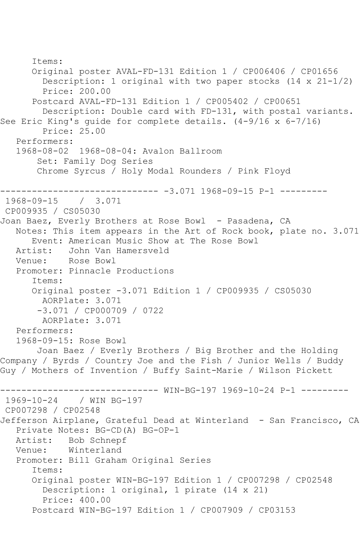```
 Items:
       Original poster AVAL-FD-131 Edition 1 / CP006406 / CP01656
         Description: 1 original with two paper stocks (14 x 21-1/2)
         Price: 200.00
       Postcard AVAL-FD-131 Edition 1 / CP005402 / CP00651
         Description: Double card with FD-131, with postal variants. 
See Eric King's guide for complete details. (4-9/16 x 6-7/16)
         Price: 25.00
    Performers:
    1968-08-02 1968-08-04: Avalon Ballroom
        Set: Family Dog Series
        Chrome Syrcus / Holy Modal Rounders / Pink Floyd
------------------------------ -3.071 1968-09-15 P-1 ---------
1968-09-15 / 3.071
CP009935 / CS05030
Joan Baez, Everly Brothers at Rose Bowl - Pasadena, CA
   Notes: This item appears in the Art of Rock book, plate no. 3.071
  Event: American Music Show at The Rose Bowl<br>Artist: John Van Hamersveld
            John Van Hamersveld
    Venue: Rose Bowl
    Promoter: Pinnacle Productions
       Items:
       Original poster -3.071 Edition 1 / CP009935 / CS05030
         AORPlate: 3.071 
        -3.071 / CP000709 / 0722
         AORPlate: 3.071 
    Performers:
    1968-09-15: Rose Bowl
        Joan Baez / Everly Brothers / Big Brother and the Holding 
Company / Byrds / Country Joe and the Fish / Junior Wells / Buddy 
Guy / Mothers of Invention / Buffy Saint-Marie / Wilson Pickett
------------------------------ WIN-BG-197 1969-10-24 P-1 ---------
1969-10-24 / WIN BG-197
CP007298 / CP02548
Jefferson Airplane, Grateful Dead at Winterland - San Francisco, CA
    Private Notes: BG-CD(A) BG-OP-1
  Artist: Bob Schnepf<br>Venue: Winterland
            Winterland
    Promoter: Bill Graham Original Series
       Items:
       Original poster WIN-BG-197 Edition 1 / CP007298 / CP02548
         Description: 1 original, 1 pirate (14 x 21)
         Price: 400.00
       Postcard WIN-BG-197 Edition 1 / CP007909 / CP03153
```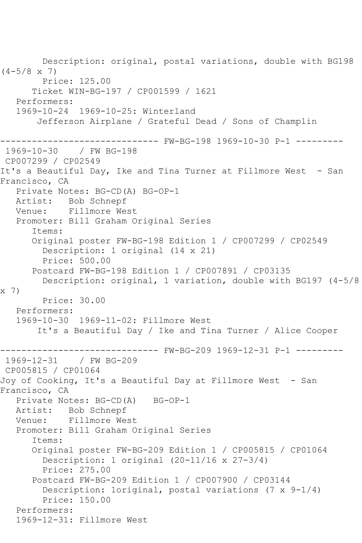Description: original, postal variations, double with BG198  $(4-5/8 \times 7)$  Price: 125.00 Ticket WIN-BG-197 / CP001599 / 1621 Performers: 1969-10-24 1969-10-25: Winterland Jefferson Airplane / Grateful Dead / Sons of Champlin --------- FW-BG-198 1969-10-30 P-1 ---------1969-10-30 / FW BG-198 CP007299 / CP02549 It's a Beautiful Day, Ike and Tina Turner at Fillmore West - San Francisco, CA Private Notes: BG-CD(A) BG-OP-1 Artist: Bob Schnepf Venue: Fillmore West Promoter: Bill Graham Original Series Items: Original poster FW-BG-198 Edition 1 / CP007299 / CP02549 Description: 1 original (14 x 21) Price: 500.00 Postcard FW-BG-198 Edition 1 / CP007891 / CP03135 Description: original, 1 variation, double with BG197 (4-5/8 x 7) Price: 30.00 Performers: 1969-10-30 1969-11-02: Fillmore West It's a Beautiful Day / Ike and Tina Turner / Alice Cooper ------------------------------ FW-BG-209 1969-12-31 P-1 --------- 1969-12-31 CP005815 / CP01064 Joy of Cooking, It's a Beautiful Day at Fillmore West - San Francisco, CA Private Notes: BG-CD(A) BG-OP-1 Artist: Bob Schnepf Venue: Fillmore West Promoter: Bill Graham Original Series Items: Original poster FW-BG-209 Edition 1 / CP005815 / CP01064 Description: 1 original (20-11/16 x 27-3/4) Price: 275.00 Postcard FW-BG-209 Edition 1 / CP007900 / CP03144 Description: 1original, postal variations (7 x 9-1/4) Price: 150.00 Performers: 1969-12-31: Fillmore West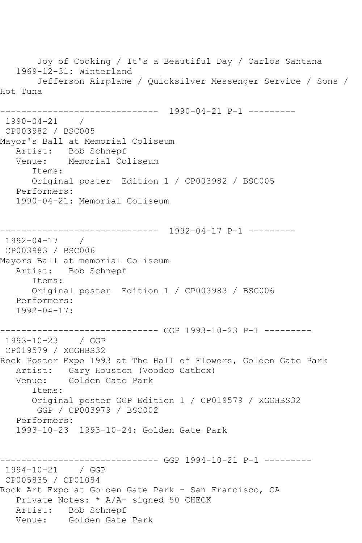Joy of Cooking / It's a Beautiful Day / Carlos Santana 1969-12-31: Winterland Jefferson Airplane / Quicksilver Messenger Service / Sons / Hot Tuna ------------------------------ 1990-04-21 P-1 --------- 1990-04-21 / CP003982 / BSC005 Mayor's Ball at Memorial Coliseum Artist: Bob Schnepf<br>Venue: Memorial Co Memorial Coliseum Items: Original poster Edition 1 / CP003982 / BSC005 Performers: 1990-04-21: Memorial Coliseum ------------------------------ 1992-04-17 P-1 --------- 1992-04-17 / CP003983 / BSC006 Mayors Ball at memorial Coliseum Artist: Bob Schnepf Items: Original poster Edition 1 / CP003983 / BSC006 Performers: 1992-04-17: ------------------------------ GGP 1993-10-23 P-1 --------- 1993-10-23 / GGP CP019579 / XGGHBS32 Rock Poster Expo 1993 at The Hall of Flowers, Golden Gate Park Artist: Gary Houston (Voodoo Catbox)<br>Venue: Golden Gate Park Golden Gate Park Items: Original poster GGP Edition 1 / CP019579 / XGGHBS32 GGP / CP003979 / BSC002 Performers: 1993-10-23 1993-10-24: Golden Gate Park ---------- GGP 1994-10-21 P-1 ---------1994-10-21 / GGP CP005835 / CP01084 Rock Art Expo at Golden Gate Park - San Francisco, CA Private Notes: \* A/A- signed 50 CHECK Artist: Bob Schnepf Venue: Golden Gate Park